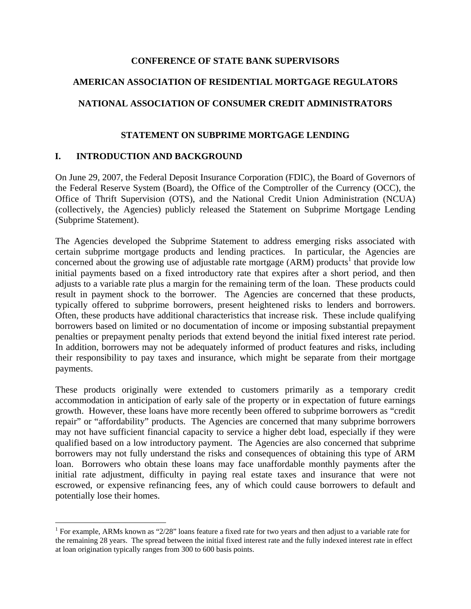#### **CONFERENCE OF STATE BANK SUPERVISORS**

# **AMERICAN ASSOCIATION OF RESIDENTIAL MORTGAGE REGULATORS**

## **NATIONAL ASSOCIATION OF CONSUMER CREDIT ADMINISTRATORS**

#### **STATEMENT ON SUBPRIME MORTGAGE LENDING**

#### **I. INTRODUCTION AND BACKGROUND**

1

On June 29, 2007, the Federal Deposit Insurance Corporation (FDIC), the Board of Governors of the Federal Reserve System (Board), the Office of the Comptroller of the Currency (OCC), the Office of Thrift Supervision (OTS), and the National Credit Union Administration (NCUA) (collectively, the Agencies) publicly released the Statement on Subprime Mortgage Lending (Subprime Statement).

The Agencies developed the Subprime Statement to address emerging risks associated with certain subprime mortgage products and lending practices. In particular, the Agencies are concerned about the growing use of adjustable rate mortgage  $(ARM)$  products<sup>1</sup> that provide low initial payments based on a fixed introductory rate that expires after a short period, and then adjusts to a variable rate plus a margin for the remaining term of the loan. These products could result in payment shock to the borrower. The Agencies are concerned that these products, typically offered to subprime borrowers, present heightened risks to lenders and borrowers. Often, these products have additional characteristics that increase risk. These include qualifying borrowers based on limited or no documentation of income or imposing substantial prepayment penalties or prepayment penalty periods that extend beyond the initial fixed interest rate period. In addition, borrowers may not be adequately informed of product features and risks, including their responsibility to pay taxes and insurance, which might be separate from their mortgage payments.

These products originally were extended to customers primarily as a temporary credit accommodation in anticipation of early sale of the property or in expectation of future earnings growth. However, these loans have more recently been offered to subprime borrowers as "credit repair" or "affordability" products. The Agencies are concerned that many subprime borrowers may not have sufficient financial capacity to service a higher debt load, especially if they were qualified based on a low introductory payment. The Agencies are also concerned that subprime borrowers may not fully understand the risks and consequences of obtaining this type of ARM loan. Borrowers who obtain these loans may face unaffordable monthly payments after the initial rate adjustment, difficulty in paying real estate taxes and insurance that were not escrowed, or expensive refinancing fees, any of which could cause borrowers to default and potentially lose their homes.

<sup>&</sup>lt;sup>1</sup> For example, ARMs known as "2/28" loans feature a fixed rate for two years and then adjust to a variable rate for the remaining 28 years. The spread between the initial fixed interest rate and the fully indexed interest rate in effect at loan origination typically ranges from 300 to 600 basis points.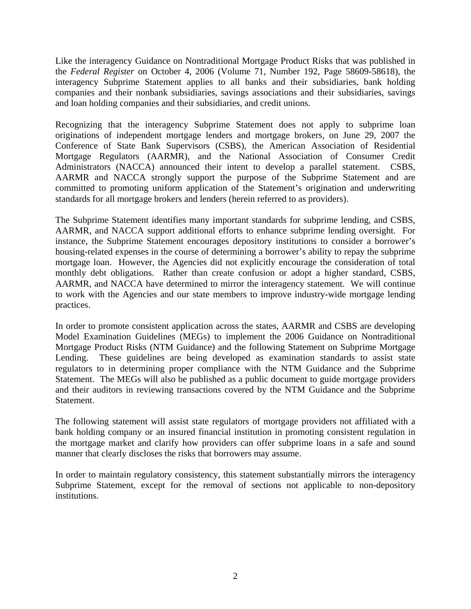Like the interagency Guidance on Nontraditional Mortgage Product Risks that was published in the *Federal Register* on October 4, 2006 (Volume 71, Number 192, Page 58609-58618), the interagency Subprime Statement applies to all banks and their subsidiaries, bank holding companies and their nonbank subsidiaries, savings associations and their subsidiaries, savings and loan holding companies and their subsidiaries, and credit unions.

Recognizing that the interagency Subprime Statement does not apply to subprime loan originations of independent mortgage lenders and mortgage brokers, on June 29, 2007 the Conference of State Bank Supervisors (CSBS), the American Association of Residential Mortgage Regulators (AARMR), and the National Association of Consumer Credit Administrators (NACCA) announced their intent to develop a parallel statement. CSBS, AARMR and NACCA strongly support the purpose of the Subprime Statement and are committed to promoting uniform application of the Statement's origination and underwriting standards for all mortgage brokers and lenders (herein referred to as providers).

The Subprime Statement identifies many important standards for subprime lending, and CSBS, AARMR, and NACCA support additional efforts to enhance subprime lending oversight. For instance, the Subprime Statement encourages depository institutions to consider a borrower's housing-related expenses in the course of determining a borrower's ability to repay the subprime mortgage loan. However, the Agencies did not explicitly encourage the consideration of total monthly debt obligations. Rather than create confusion or adopt a higher standard, CSBS, AARMR, and NACCA have determined to mirror the interagency statement. We will continue to work with the Agencies and our state members to improve industry-wide mortgage lending practices.

In order to promote consistent application across the states, AARMR and CSBS are developing Model Examination Guidelines (MEGs) to implement the 2006 Guidance on Nontraditional Mortgage Product Risks (NTM Guidance) and the following Statement on Subprime Mortgage Lending. These guidelines are being developed as examination standards to assist state regulators to in determining proper compliance with the NTM Guidance and the Subprime Statement. The MEGs will also be published as a public document to guide mortgage providers and their auditors in reviewing transactions covered by the NTM Guidance and the Subprime **Statement** 

The following statement will assist state regulators of mortgage providers not affiliated with a bank holding company or an insured financial institution in promoting consistent regulation in the mortgage market and clarify how providers can offer subprime loans in a safe and sound manner that clearly discloses the risks that borrowers may assume.

In order to maintain regulatory consistency, this statement substantially mirrors the interagency Subprime Statement, except for the removal of sections not applicable to non-depository institutions.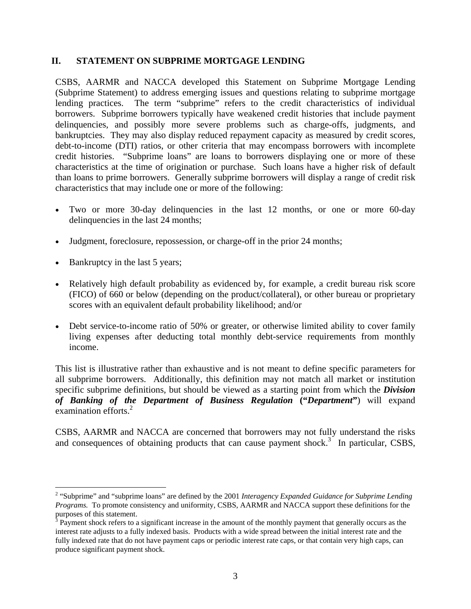#### **II. STATEMENT ON SUBPRIME MORTGAGE LENDING**

CSBS, AARMR and NACCA developed this Statement on Subprime Mortgage Lending (Subprime Statement) to address emerging issues and questions relating to subprime mortgage lending practices. The term "subprime" refers to the credit characteristics of individual borrowers. Subprime borrowers typically have weakened credit histories that include payment delinquencies, and possibly more severe problems such as charge-offs, judgments, and bankruptcies. They may also display reduced repayment capacity as measured by credit scores, debt-to-income (DTI) ratios, or other criteria that may encompass borrowers with incomplete credit histories. "Subprime loans" are loans to borrowers displaying one or more of these characteristics at the time of origination or purchase. Such loans have a higher risk of default than loans to prime borrowers. Generally subprime borrowers will display a range of credit risk characteristics that may include one or more of the following:

- Two or more 30-day delinquencies in the last 12 months, or one or more 60-day delinquencies in the last 24 months;
- Judgment, foreclosure, repossession, or charge-off in the prior 24 months;
- Bankruptcy in the last 5 years;

 $\overline{a}$ 

- Relatively high default probability as evidenced by, for example, a credit bureau risk score (FICO) of 660 or below (depending on the product/collateral), or other bureau or proprietary scores with an equivalent default probability likelihood; and/or
- Debt service-to-income ratio of 50% or greater, or otherwise limited ability to cover family living expenses after deducting total monthly debt-service requirements from monthly income.

This list is illustrative rather than exhaustive and is not meant to define specific parameters for all subprime borrowers. Additionally, this definition may not match all market or institution specific subprime definitions, but should be viewed as a starting point from which the *Division of Banking of the Department of Business Regulation* **("***Department***"**) will expand examination efforts.<sup>2</sup>

CSBS, AARMR and NACCA are concerned that borrowers may not fully understand the risks and consequences of obtaining products that can cause payment shock. $3$  In particular, CSBS,

<sup>&</sup>lt;sup>2</sup> "Subprime" and "subprime loans" are defined by the 2001 *Interagency Expanded Guidance for Subprime Lending Programs.* To promote consistency and uniformity, CSBS, AARMR and NACCA support these definitions for the

purposes of this statement.<br><sup>3</sup> Payment shock refers to a significant increase in the amount of the monthly payment that generally occurs as the interest rate adjusts to a fully indexed basis. Products with a wide spread between the initial interest rate and the fully indexed rate that do not have payment caps or periodic interest rate caps, or that contain very high caps, can produce significant payment shock.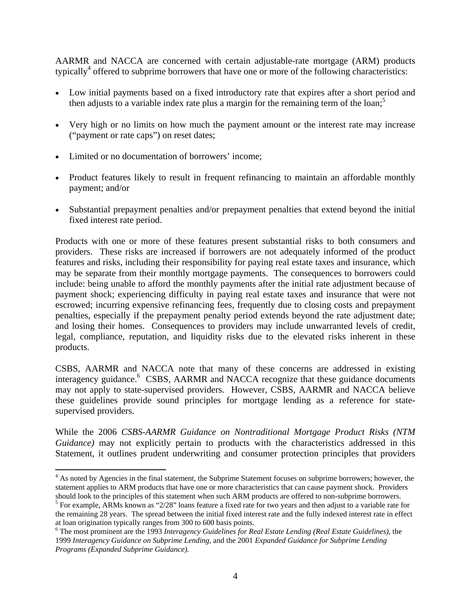AARMR and NACCA are concerned with certain adjustable-rate mortgage (ARM) products typically<sup>4</sup> offered to subprime borrowers that have one or more of the following characteristics:

- Low initial payments based on a fixed introductory rate that expires after a short period and then adjusts to a variable index rate plus a margin for the remaining term of the loan;<sup>5</sup>
- Very high or no limits on how much the payment amount or the interest rate may increase ("payment or rate caps") on reset dates;
- Limited or no documentation of borrowers' income;

 $\overline{a}$ 

- Product features likely to result in frequent refinancing to maintain an affordable monthly payment; and/or
- Substantial prepayment penalties and/or prepayment penalties that extend beyond the initial fixed interest rate period.

Products with one or more of these features present substantial risks to both consumers and providers. These risks are increased if borrowers are not adequately informed of the product features and risks, including their responsibility for paying real estate taxes and insurance, which may be separate from their monthly mortgage payments. The consequences to borrowers could include: being unable to afford the monthly payments after the initial rate adjustment because of payment shock; experiencing difficulty in paying real estate taxes and insurance that were not escrowed; incurring expensive refinancing fees, frequently due to closing costs and prepayment penalties, especially if the prepayment penalty period extends beyond the rate adjustment date; and losing their homes. Consequences to providers may include unwarranted levels of credit, legal, compliance, reputation, and liquidity risks due to the elevated risks inherent in these products.

CSBS, AARMR and NACCA note that many of these concerns are addressed in existing interagency guidance.<sup>6</sup> CSBS, AARMR and NACCA recognize that these guidance documents may not apply to state-supervised providers. However, CSBS, AARMR and NACCA believe these guidelines provide sound principles for mortgage lending as a reference for statesupervised providers.

While the 2006 *CSBS-AARMR Guidance on Nontraditional Mortgage Product Risks (NTM Guidance)* may not explicitly pertain to products with the characteristics addressed in this Statement, it outlines prudent underwriting and consumer protection principles that providers

<sup>&</sup>lt;sup>4</sup> As noted by Agencies in the final statement, the Subprime Statement focuses on subprime borrowers; however, the statement applies to ARM products that have one or more characteristics that can cause payment shock. Providers should look to the principles of this statement when such ARM products are offered to non-subprime borrowers.

<sup>&</sup>lt;sup>5</sup> For example, ARMs known as "2/28" loans feature a fixed rate for two years and then adjust to a variable rate for the remaining 28 years. The spread between the initial fixed interest rate and the fully indexed interest rate in effect at loan origination typically ranges from 300 to 600 basis points.

<sup>6</sup> The most prominent are the 1993 *Interagency Guidelines for Real Estate Lending (Real Estate Guidelines)*, the 1999 *Interagency Guidance on Subprime Lending*, and the 2001 *Expanded Guidance for Subprime Lending Programs (Expanded Subprime Guidance).*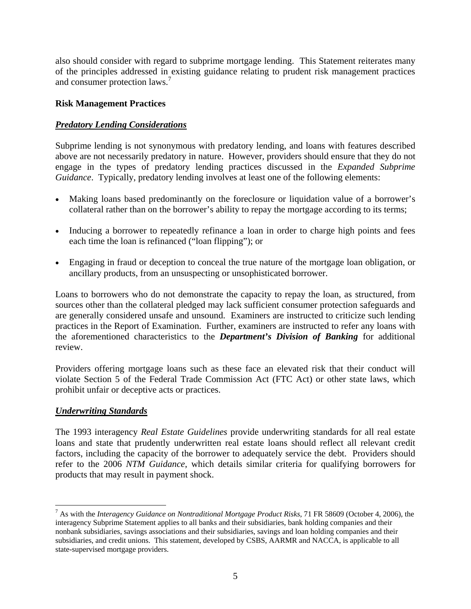also should consider with regard to subprime mortgage lending. This Statement reiterates many of the principles addressed in existing guidance relating to prudent risk management practices and consumer protection laws.<sup>7</sup>

#### **Risk Management Practices**

### *Predatory Lending Considerations*

Subprime lending is not synonymous with predatory lending, and loans with features described above are not necessarily predatory in nature. However, providers should ensure that they do not engage in the types of predatory lending practices discussed in the *Expanded Subprime Guidance*. Typically, predatory lending involves at least one of the following elements:

- Making loans based predominantly on the foreclosure or liquidation value of a borrower's collateral rather than on the borrower's ability to repay the mortgage according to its terms;
- Inducing a borrower to repeatedly refinance a loan in order to charge high points and fees each time the loan is refinanced ("loan flipping"); or
- Engaging in fraud or deception to conceal the true nature of the mortgage loan obligation, or ancillary products, from an unsuspecting or unsophisticated borrower.

Loans to borrowers who do not demonstrate the capacity to repay the loan, as structured, from sources other than the collateral pledged may lack sufficient consumer protection safeguards and are generally considered unsafe and unsound. Examiners are instructed to criticize such lending practices in the Report of Examination. Further, examiners are instructed to refer any loans with the aforementioned characteristics to the *Department's Division of Banking* for additional review.

Providers offering mortgage loans such as these face an elevated risk that their conduct will violate Section 5 of the Federal Trade Commission Act (FTC Act) or other state laws, which prohibit unfair or deceptive acts or practices.

### *Underwriting Standards*

The 1993 interagency *Real Estate Guidelines* provide underwriting standards for all real estate loans and state that prudently underwritten real estate loans should reflect all relevant credit factors, including the capacity of the borrower to adequately service the debt. Providers should refer to the 2006 *NTM Guidance*, which details similar criteria for qualifying borrowers for products that may result in payment shock.

 $\overline{a}$ 7 As with the *Interagency Guidance on Nontraditional Mortgage Product Risks*, 71 FR 58609 (October 4, 2006), the interagency Subprime Statement applies to all banks and their subsidiaries, bank holding companies and their nonbank subsidiaries, savings associations and their subsidiaries, savings and loan holding companies and their subsidiaries, and credit unions. This statement, developed by CSBS, AARMR and NACCA, is applicable to all state-supervised mortgage providers.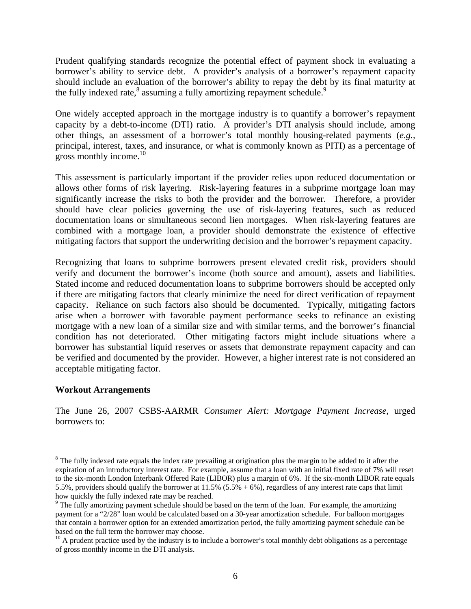Prudent qualifying standards recognize the potential effect of payment shock in evaluating a borrower's ability to service debt. A provider's analysis of a borrower's repayment capacity should include an evaluation of the borrower's ability to repay the debt by its final maturity at the fully indexed rate,<sup>8</sup> assuming a fully amortizing repayment schedule.<sup>9</sup>

One widely accepted approach in the mortgage industry is to quantify a borrower's repayment capacity by a debt-to-income (DTI) ratio. A provider's DTI analysis should include, among other things, an assessment of a borrower's total monthly housing-related payments (*e.g.,* principal, interest, taxes, and insurance, or what is commonly known as PITI) as a percentage of gross monthly income. $10$ 

This assessment is particularly important if the provider relies upon reduced documentation or allows other forms of risk layering. Risk-layering features in a subprime mortgage loan may significantly increase the risks to both the provider and the borrower. Therefore, a provider should have clear policies governing the use of risk-layering features, such as reduced documentation loans or simultaneous second lien mortgages. When risk-layering features are combined with a mortgage loan, a provider should demonstrate the existence of effective mitigating factors that support the underwriting decision and the borrower's repayment capacity.

Recognizing that loans to subprime borrowers present elevated credit risk, providers should verify and document the borrower's income (both source and amount), assets and liabilities. Stated income and reduced documentation loans to subprime borrowers should be accepted only if there are mitigating factors that clearly minimize the need for direct verification of repayment capacity. Reliance on such factors also should be documented. Typically, mitigating factors arise when a borrower with favorable payment performance seeks to refinance an existing mortgage with a new loan of a similar size and with similar terms, and the borrower's financial condition has not deteriorated. Other mitigating factors might include situations where a borrower has substantial liquid reserves or assets that demonstrate repayment capacity and can be verified and documented by the provider. However, a higher interest rate is not considered an acceptable mitigating factor.

#### **Workout Arrangements**

1

The June 26, 2007 CSBS-AARMR *Consumer Alert: Mortgage Payment Increase*, urged borrowers to:

 $8$  The fully indexed rate equals the index rate prevailing at origination plus the margin to be added to it after the expiration of an introductory interest rate. For example, assume that a loan with an initial fixed rate of 7% will reset to the six-month London Interbank Offered Rate (LIBOR) plus a margin of 6%. If the six-month LIBOR rate equals 5.5%, providers should qualify the borrower at 11.5% (5.5% + 6%), regardless of any interest rate caps that limit how quickly the fully indexed rate may be reached.

<sup>&</sup>lt;sup>9</sup> The fully amortizing payment schedule should be based on the term of the loan. For example, the amortizing payment for a "2/28" loan would be calculated based on a 30-year amortization schedule. For balloon mortgages that contain a borrower option for an extended amortization period, the fully amortizing payment schedule can be based on the full term the borrower may choose.

 $10$  A prudent practice used by the industry is to include a borrower's total monthly debt obligations as a percentage of gross monthly income in the DTI analysis.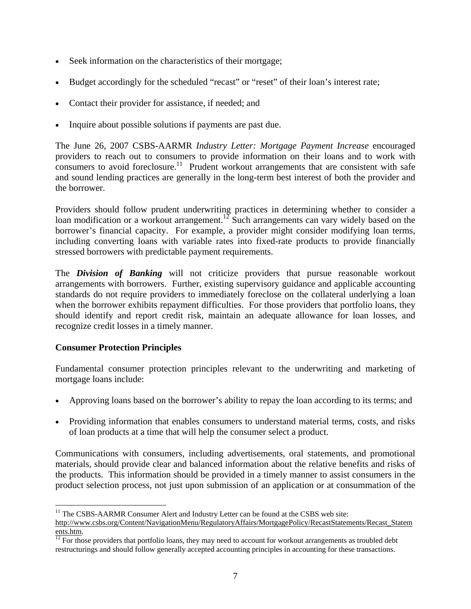- Seek information on the characteristics of their mortgage;
- Budget accordingly for the scheduled "recast" or "reset" of their loan's interest rate;
- Contact their provider for assistance, if needed; and
- Inquire about possible solutions if payments are past due.

The June 26, 2007 CSBS-AARMR *Industry Letter: Mortgage Payment Increase* encouraged providers to reach out to consumers to provide information on their loans and to work with consumers to avoid foreclosure.<sup>11</sup> Prudent workout arrangements that are consistent with safe and sound lending practices are generally in the long-term best interest of both the provider and the borrower.

Providers should follow prudent underwriting practices in determining whether to consider a loan modification or a workout arrangement.<sup>12</sup> Such arrangements can vary widely based on the borrower's financial capacity. For example, a provider might consider modifying loan terms, including converting loans with variable rates into fixed-rate products to provide financially stressed borrowers with predictable payment requirements.

The *Division of Banking* will not criticize providers that pursue reasonable workout arrangements with borrowers. Further, existing supervisory guidance and applicable accounting standards do not require providers to immediately foreclose on the collateral underlying a loan when the borrower exhibits repayment difficulties. For those providers that portfolio loans, they should identify and report credit risk, maintain an adequate allowance for loan losses, and recognize credit losses in a timely manner.

## **Consumer Protection Principles**

Fundamental consumer protection principles relevant to the underwriting and marketing of mortgage loans include:

- Approving loans based on the borrower's ability to repay the loan according to its terms; and
- Providing information that enables consumers to understand material terms, costs, and risks of loan products at a time that will help the consumer select a product.

Communications with consumers, including advertisements, oral statements, and promotional materials, should provide clear and balanced information about the relative benefits and risks of the products. This information should be provided in a timely manner to assist consumers in the product selection process, not just upon submission of an application or at consummation of the

 $\overline{a}$ <sup>11</sup> The CSBS-AARMR Consumer Alert and Industry Letter can be found at the CSBS web site:

http://www.csbs.org/Content/NavigationMenu/RegulatoryAffairs/MortgagePolicy/RecastStatements/Recast\_Statements.htm.

 $\frac{64}{12}$  For those providers that portfolio loans, they may need to account for workout arrangements as troubled debt restructurings and should follow generally accepted accounting principles in accounting for these transactions.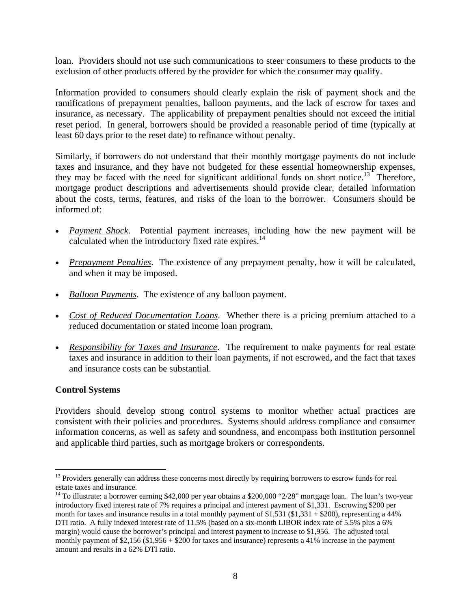loan. Providers should not use such communications to steer consumers to these products to the exclusion of other products offered by the provider for which the consumer may qualify.

Information provided to consumers should clearly explain the risk of payment shock and the ramifications of prepayment penalties, balloon payments, and the lack of escrow for taxes and insurance, as necessary. The applicability of prepayment penalties should not exceed the initial reset period. In general, borrowers should be provided a reasonable period of time (typically at least 60 days prior to the reset date) to refinance without penalty.

Similarly, if borrowers do not understand that their monthly mortgage payments do not include taxes and insurance, and they have not budgeted for these essential homeownership expenses, they may be faced with the need for significant additional funds on short notice.<sup>13</sup> Therefore, mortgage product descriptions and advertisements should provide clear, detailed information about the costs, terms, features, and risks of the loan to the borrower. Consumers should be informed of:

- *Payment Shock*. Potential payment increases, including how the new payment will be calculated when the introductory fixed rate expires.<sup>14</sup>
- *Prepayment Penalties*. The existence of any prepayment penalty, how it will be calculated, and when it may be imposed.
- *Balloon Payments*. The existence of any balloon payment.
- *Cost of Reduced Documentation Loans*. Whether there is a pricing premium attached to a reduced documentation or stated income loan program.
- *Responsibility for Taxes and Insurance*. The requirement to make payments for real estate taxes and insurance in addition to their loan payments, if not escrowed, and the fact that taxes and insurance costs can be substantial.

### **Control Systems**

Providers should develop strong control systems to monitor whether actual practices are consistent with their policies and procedures. Systems should address compliance and consumer information concerns, as well as safety and soundness, and encompass both institution personnel and applicable third parties, such as mortgage brokers or correspondents.

 $\overline{a}$ <sup>13</sup> Providers generally can address these concerns most directly by requiring borrowers to escrow funds for real estate taxes and insurance.

<sup>&</sup>lt;sup>14</sup> To illustrate: a borrower earning \$42,000 per year obtains a \$200,000 " $2/28$ " mortgage loan. The loan's two-year introductory fixed interest rate of 7% requires a principal and interest payment of \$1,331. Escrowing \$200 per month for taxes and insurance results in a total monthly payment of \$1,531 (\$1,331 + \$200), representing a 44% DTI ratio. A fully indexed interest rate of 11.5% (based on a six-month LIBOR index rate of 5.5% plus a 6% margin) would cause the borrower's principal and interest payment to increase to \$1,956. The adjusted total monthly payment of  $$2,156 ($1,956 + $200$  for taxes and insurance) represents a 41% increase in the payment amount and results in a 62% DTI ratio.